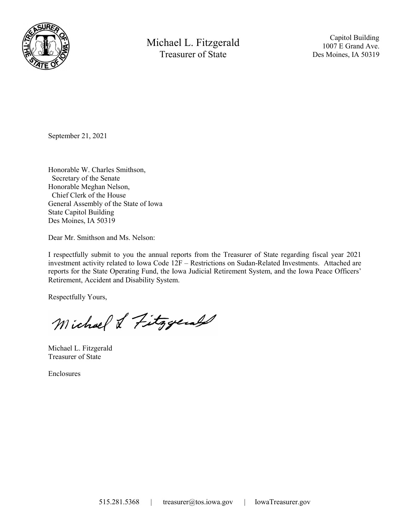

Michael L. Fitzgerald Treasurer of State

 Capitol Building 1007 E Grand Ave. Des Moines, IA 50319

September 21, 2021

Honorable W. Charles Smithson, Secretary of the Senate Honorable Meghan Nelson, Chief Clerk of the House General Assembly of the State of Iowa State Capitol Building Des Moines, IA 50319

Dear Mr. Smithson and Ms. Nelson:

I respectfully submit to you the annual reports from the Treasurer of State regarding fiscal year 2021 investment activity related to Iowa Code 12F – Restrictions on Sudan-Related Investments. Attached are reports for the State Operating Fund, the Iowa Judicial Retirement System, and the Iowa Peace Officers' Retirement, Accident and Disability System.

Respectfully Yours,

Michael & Fitzgerald

Michael L. Fitzgerald Treasurer of State

Enclosures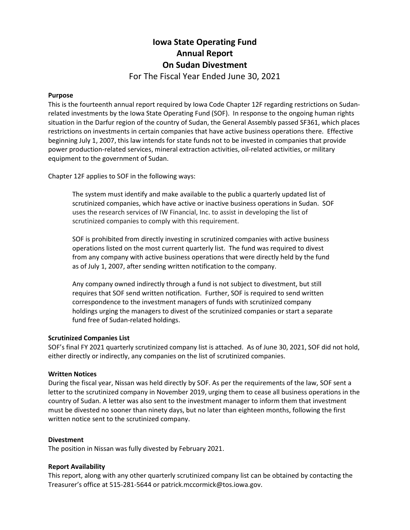# Iowa State Operating Fund Annual Report On Sudan Divestment For The Fiscal Year Ended June 30, 2021

#### Purpose

This is the fourteenth annual report required by Iowa Code Chapter 12F regarding restrictions on Sudanrelated investments by the Iowa State Operating Fund (SOF). In response to the ongoing human rights situation in the Darfur region of the country of Sudan, the General Assembly passed SF361, which places restrictions on investments in certain companies that have active business operations there. Effective beginning July 1, 2007, this law intends for state funds not to be invested in companies that provide power production-related services, mineral extraction activities, oil-related activities, or military equipment to the government of Sudan.

Chapter 12F applies to SOF in the following ways:

The system must identify and make available to the public a quarterly updated list of scrutinized companies, which have active or inactive business operations in Sudan. SOF uses the research services of IW Financial, Inc. to assist in developing the list of scrutinized companies to comply with this requirement.

SOF is prohibited from directly investing in scrutinized companies with active business operations listed on the most current quarterly list. The fund was required to divest from any company with active business operations that were directly held by the fund as of July 1, 2007, after sending written notification to the company.

Any company owned indirectly through a fund is not subject to divestment, but still requires that SOF send written notification. Further, SOF is required to send written correspondence to the investment managers of funds with scrutinized company holdings urging the managers to divest of the scrutinized companies or start a separate fund free of Sudan-related holdings.

#### Scrutinized Companies List

SOF's final FY 2021 quarterly scrutinized company list is attached. As of June 30, 2021, SOF did not hold, either directly or indirectly, any companies on the list of scrutinized companies.

#### Written Notices

During the fiscal year, Nissan was held directly by SOF. As per the requirements of the law, SOF sent a letter to the scrutinized company in November 2019, urging them to cease all business operations in the country of Sudan. A letter was also sent to the investment manager to inform them that investment must be divested no sooner than ninety days, but no later than eighteen months, following the first written notice sent to the scrutinized company.

#### Divestment

The position in Nissan was fully divested by February 2021.

#### Report Availability

This report, along with any other quarterly scrutinized company list can be obtained by contacting the Treasurer's office at 515-281-5644 or patrick.mccormick@tos.iowa.gov.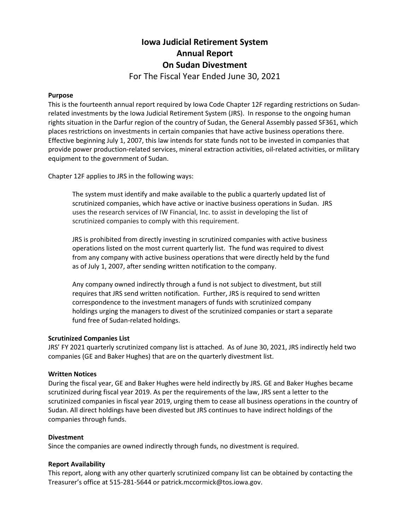# Iowa Judicial Retirement System Annual Report On Sudan Divestment For The Fiscal Year Ended June 30, 2021

#### Purpose

This is the fourteenth annual report required by Iowa Code Chapter 12F regarding restrictions on Sudanrelated investments by the Iowa Judicial Retirement System (JRS). In response to the ongoing human rights situation in the Darfur region of the country of Sudan, the General Assembly passed SF361, which places restrictions on investments in certain companies that have active business operations there. Effective beginning July 1, 2007, this law intends for state funds not to be invested in companies that provide power production-related services, mineral extraction activities, oil-related activities, or military equipment to the government of Sudan.

Chapter 12F applies to JRS in the following ways:

The system must identify and make available to the public a quarterly updated list of scrutinized companies, which have active or inactive business operations in Sudan. JRS uses the research services of IW Financial, Inc. to assist in developing the list of scrutinized companies to comply with this requirement.

JRS is prohibited from directly investing in scrutinized companies with active business operations listed on the most current quarterly list. The fund was required to divest from any company with active business operations that were directly held by the fund as of July 1, 2007, after sending written notification to the company.

Any company owned indirectly through a fund is not subject to divestment, but still requires that JRS send written notification. Further, JRS is required to send written correspondence to the investment managers of funds with scrutinized company holdings urging the managers to divest of the scrutinized companies or start a separate fund free of Sudan-related holdings.

#### Scrutinized Companies List

JRS' FY 2021 quarterly scrutinized company list is attached. As of June 30, 2021, JRS indirectly held two companies (GE and Baker Hughes) that are on the quarterly divestment list.

#### Written Notices

During the fiscal year, GE and Baker Hughes were held indirectly by JRS. GE and Baker Hughes became scrutinized during fiscal year 2019. As per the requirements of the law, JRS sent a letter to the scrutinized companies in fiscal year 2019, urging them to cease all business operations in the country of Sudan. All direct holdings have been divested but JRS continues to have indirect holdings of the companies through funds.

#### Divestment

Since the companies are owned indirectly through funds, no divestment is required.

#### Report Availability

This report, along with any other quarterly scrutinized company list can be obtained by contacting the Treasurer's office at 515-281-5644 or patrick.mccormick@tos.iowa.gov.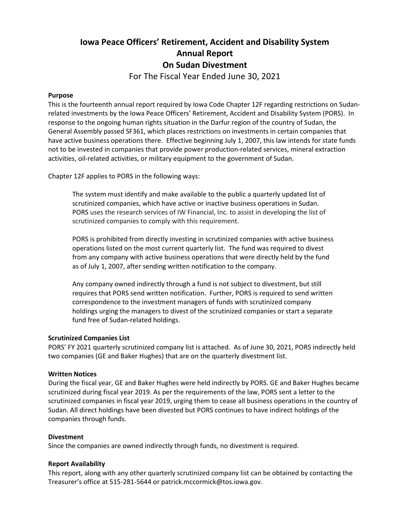# Iowa Peace Officers' Retirement, Accident and Disability System Annual Report On Sudan Divestment

For The Fiscal Year Ended June 30, 2021

# Purpose

This is the fourteenth annual report required by Iowa Code Chapter 12F regarding restrictions on Sudanrelated investments by the Iowa Peace Officers' Retirement, Accident and Disability System (PORS). In response to the ongoing human rights situation in the Darfur region of the country of Sudan, the General Assembly passed SF361, which places restrictions on investments in certain companies that have active business operations there. Effective beginning July 1, 2007, this law intends for state funds not to be invested in companies that provide power production-related services, mineral extraction activities, oil-related activities, or military equipment to the government of Sudan.

Chapter 12F applies to PORS in the following ways:

The system must identify and make available to the public a quarterly updated list of scrutinized companies, which have active or inactive business operations in Sudan. PORS uses the research services of IW Financial, Inc. to assist in developing the list of scrutinized companies to comply with this requirement.

PORS is prohibited from directly investing in scrutinized companies with active business operations listed on the most current quarterly list. The fund was required to divest from any company with active business operations that were directly held by the fund as of July 1, 2007, after sending written notification to the company.

Any company owned indirectly through a fund is not subject to divestment, but still requires that PORS send written notification. Further, PORS is required to send written correspondence to the investment managers of funds with scrutinized company holdings urging the managers to divest of the scrutinized companies or start a separate fund free of Sudan-related holdings.

# Scrutinized Companies List

PORS' FY 2021 quarterly scrutinized company list is attached. As of June 30, 2021, PORS indirectly held two companies (GE and Baker Hughes) that are on the quarterly divestment list.

# Written Notices

During the fiscal year, GE and Baker Hughes were held indirectly by PORS. GE and Baker Hughes became scrutinized during fiscal year 2019. As per the requirements of the law, PORS sent a letter to the scrutinized companies in fiscal year 2019, urging them to cease all business operations in the country of Sudan. All direct holdings have been divested but PORS continues to have indirect holdings of the companies through funds.

# **Divestment**

Since the companies are owned indirectly through funds, no divestment is required.

# Report Availability

This report, along with any other quarterly scrutinized company list can be obtained by contacting the Treasurer's office at 515-281-5644 or patrick.mccormick@tos.iowa.gov.